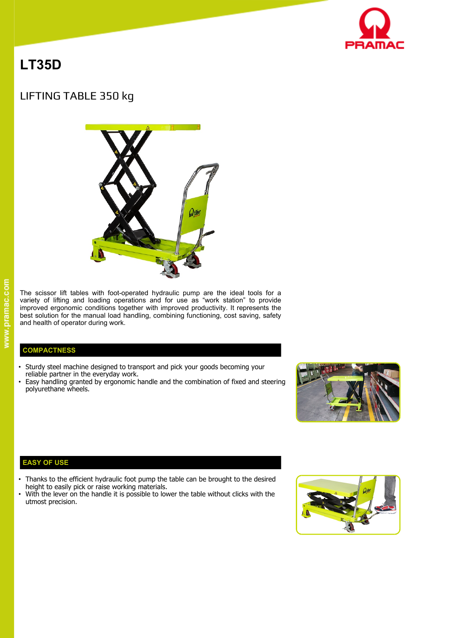

# **LT35D**

# LIFTING TABLE 350 kg



www.pramac.com

The scissor lift tables with foot-operated hydraulic pump are the ideal tools for a variety of lifting and loading operations and for use as "work station" to provide improved ergonomic conditions together with improved productivity. It represents the best solution for the manual load handling, combining functioning, cost saving, safety and health of operator during work.

## **COMPACTNESS**

- Sturdy steel machine designed to transport and pick your goods becoming your reliable partner in the everyday work.
- Easy handling granted by ergonomic handle and the combination of fixed and steering polyurethane wheels.



# **EASY OF USE**

- Thanks to the efficient hydraulic foot pump the table can be brought to the desired height to easily pick or raise working materials.
- With the lever on the handle it is possible to lower the table without clicks with the utmost precision.